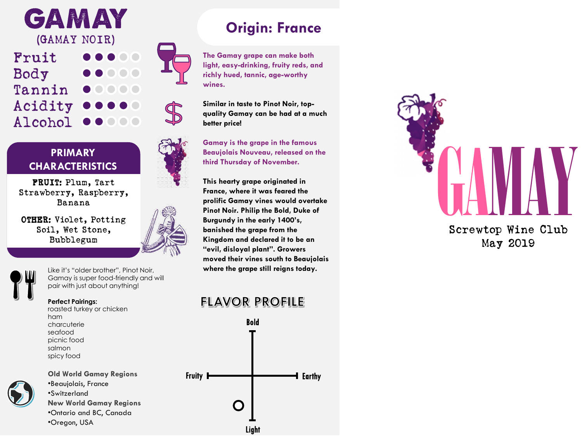**GAMAY** (GAMAY NOIR)

Fruit Body Tannin Acidity Alcohol

#### **PRIMARY CHARACTERISTICS**

FRUIT: Plum, Tart Strawberry, Raspberry, Banana

OTHER: Violet, Potting Soil, Wet Stone, Bubblegum



Like it's "older brother", Pinot Noir, Gamay is super food -friendly and will pair with just about anything!

#### **Perfect Pairings:**

roasted turkey or chicken ham charcuterie seafood picnic food salmon spicy food

**Old World Gamay Regions** •Beaujolais, France •Switzerland **New World Gamay Regions** •Ontario and BC, Canada •Oregon, USA

# **Origin: France**

**The Gamay grape can make both light, easy -drinking, fruity reds, and richly hued, tannic, age -worthy wines.**

**Similar in taste to Pinot Noir, top quality Gamay can be had at a much better price!**

**Gamay is the grape in the famous Beaujolais Nouveau, released on the third Thursday of November.**

**This hearty grape originated in France, where it was feared the prolific Gamay vines would overtake Pinot Noir. Philip the Bold, Duke of Burgundy in the early 1400's, banished the grape from the Kingdom and declared it to be an "evil, disloyal plant". Growers moved their vines south to Beaujolais where the grape still reigns today.**

## **FLAVOR PROFILE**